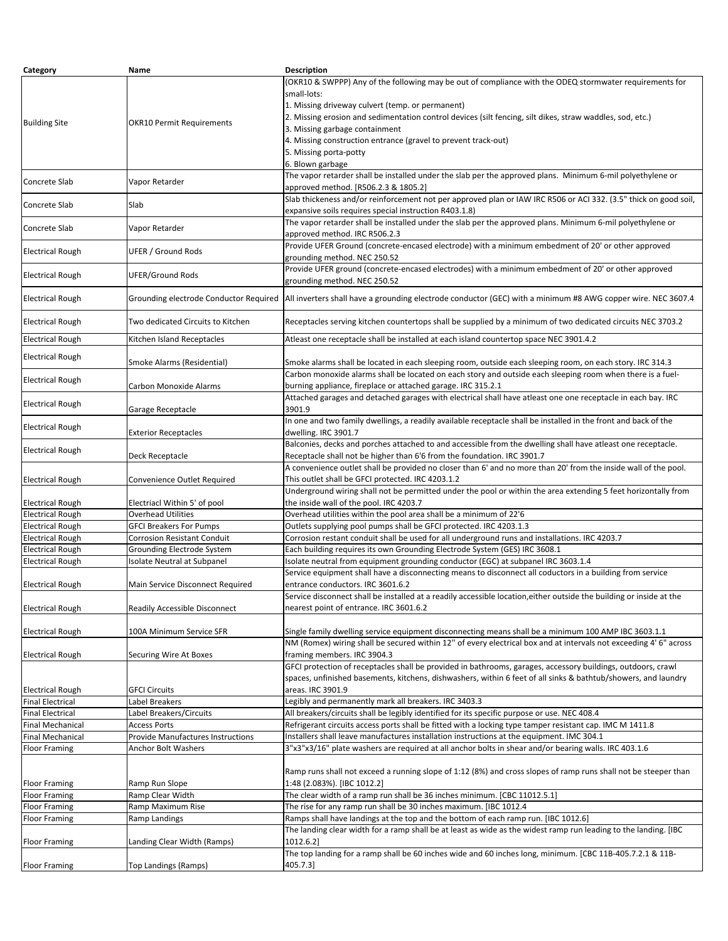| Category                | Name                                   | <b>Description</b>                                                                                                   |
|-------------------------|----------------------------------------|----------------------------------------------------------------------------------------------------------------------|
|                         |                                        | (OKR10 & SWPPP) Any of the following may be out of compliance with the ODEQ stormwater requirements for              |
|                         |                                        | small-lots:                                                                                                          |
|                         |                                        | 1. Missing driveway culvert (temp. or permanent)                                                                     |
|                         |                                        | 2. Missing erosion and sedimentation control devices (silt fencing, silt dikes, straw waddles, sod, etc.)            |
| <b>Building Site</b>    | OKR10 Permit Requirements              |                                                                                                                      |
|                         |                                        | 3. Missing garbage containment                                                                                       |
|                         |                                        | 4. Missing construction entrance (gravel to prevent track-out)                                                       |
|                         |                                        | 5. Missing porta-potty                                                                                               |
|                         |                                        | 6. Blown garbage                                                                                                     |
| Concrete Slab           | Vapor Retarder                         | The vapor retarder shall be installed under the slab per the approved plans. Minimum 6-mil polyethylene or           |
|                         |                                        | approved method. [R506.2.3 & 1805.2]                                                                                 |
|                         |                                        | Slab thickeness and/or reinforcement not per approved plan or IAW IRC R506 or ACI 332. (3.5" thick on good soil,     |
| Concrete Slab           | Slab                                   | expansive soils requires special instruction R403.1.8)                                                               |
|                         |                                        | The vapor retarder shall be installed under the slab per the approved plans. Minimum 6-mil polyethylene or           |
| Concrete Slab           | Vapor Retarder                         | approved method. IRC R506.2.3                                                                                        |
|                         |                                        | Provide UFER Ground (concrete-encased electrode) with a minimum embedment of 20' or other approved                   |
| <b>Electrical Rough</b> | UFER / Ground Rods                     |                                                                                                                      |
|                         |                                        | grounding method. NEC 250.52                                                                                         |
| <b>Electrical Rough</b> | UFER/Ground Rods                       | Provide UFER ground (concrete-encased electrodes) with a minimum embedment of 20' or other approved                  |
|                         |                                        | grounding method. NEC 250.52                                                                                         |
| <b>Electrical Rough</b> | Grounding electrode Conductor Required | All inverters shall have a grounding electrode conductor (GEC) with a minimum #8 AWG copper wire. NEC 3607.4         |
|                         |                                        |                                                                                                                      |
| <b>Electrical Rough</b> | Two dedicated Circuits to Kitchen      | Receptacles serving kitchen countertops shall be supplied by a minimum of two dedicated circuits NEC 3703.2          |
|                         |                                        |                                                                                                                      |
| <b>Electrical Rough</b> | Kitchen Island Receptacles             | Atleast one receptacle shall be installed at each island countertop space NEC 3901.4.2                               |
|                         |                                        |                                                                                                                      |
| <b>Electrical Rough</b> | Smoke Alarms (Residential)             | Smoke alarms shall be located in each sleeping room, outside each sleeping room, on each story. IRC 314.3            |
|                         |                                        | Carbon monoxide alarms shall be located on each story and outside each sleeping room when there is a fuel-           |
| <b>Electrical Rough</b> | Carbon Monoxide Alarms                 | burning appliance, fireplace or attached garage. IRC 315.2.1                                                         |
|                         |                                        | Attached garages and detached garages with electrical shall have atleast one one receptacle in each bay. IRC         |
| <b>Electrical Rough</b> |                                        |                                                                                                                      |
|                         | Garage Receptacle                      | 3901.9                                                                                                               |
| <b>Electrical Rough</b> |                                        | In one and two family dwellings, a readily available receptacle shall be installed in the front and back of the      |
|                         | <b>Exterior Receptacles</b>            | dwelling. IRC 3901.7                                                                                                 |
| <b>Electrical Rough</b> |                                        | Balconies, decks and porches attached to and accessible from the dwelling shall have atleast one receptacle.         |
|                         | Deck Receptacle                        | Receptacle shall not be higher than 6'6 from the foundation. IRC 3901.7                                              |
|                         |                                        | A convenience outlet shall be provided no closer than 6' and no more than 20' from the inside wall of the pool.      |
| <b>Electrical Rough</b> | Convenience Outlet Required            | This outlet shall be GFCI protected. IRC 4203.1.2                                                                    |
|                         |                                        | Underground wiring shall not be permitted under the pool or within the area extending 5 feet horizontally from       |
| <b>Electrical Rough</b> | Electriacl Within 5' of pool           | the inside wall of the pool. IRC 4203.7                                                                              |
| <b>Electrical Rough</b> | Overhead Utilities                     | Overhead utilities within the pool area shall be a minimum of 22'6                                                   |
| <b>Electrical Rough</b> | <b>GFCI Breakers For Pumps</b>         | Outlets supplying pool pumps shall be GFCI protected. IRC 4203.1.3                                                   |
| <b>Electrical Rough</b> | <b>Corrosion Resistant Conduit</b>     | Corrosion restant conduit shall be used for all underground runs and installations. IRC 4203.7                       |
|                         |                                        | Each building requires its own Grounding Electrode System (GES) IRC 3608.1                                           |
| <b>Electrical Rough</b> | Grounding Electrode System             |                                                                                                                      |
| <b>Electrical Rough</b> | Isolate Neutral at Subpanel            | Isolate neutral from equipment grounding conductor (EGC) at subpanel IRC 3603.1.4                                    |
|                         |                                        | Service equipment shall have a disconnecting means to disconnect all coductors in a building from service            |
| <b>Electrical Rough</b> | Main Service Disconnect Required       | entrance conductors. IRC 3601.6.2                                                                                    |
|                         |                                        | Service disconnect shall be installed at a readily accessible location, either outside the building or inside at the |
| <b>Electrical Rough</b> | <b>Readily Accessible Disconnect</b>   | nearest point of entrance. IRC 3601.6.2                                                                              |
|                         |                                        |                                                                                                                      |
| <b>Electrical Rough</b> | 100A Minimum Service SFR               | Single family dwelling service equipment disconnecting means shall be a minimum 100 AMP IBC 3603.1.1                 |
|                         |                                        | NM (Romex) wiring shall be secured within 12" of every electrical box and at intervals not exceeding 4' 6" across    |
| <b>Electrical Rough</b> | <b>Securing Wire At Boxes</b>          | framing members. IRC 3904.3                                                                                          |
|                         |                                        | GFCI protection of receptacles shall be provided in bathrooms, garages, accessory buildings, outdoors, crawl         |
|                         |                                        | spaces, unfinished basements, kitchens, dishwashers, within 6 feet of all sinks & bathtub/showers, and laundry       |
| <b>Electrical Rough</b> | <b>GFCI Circuits</b>                   | areas. IRC 3901.9                                                                                                    |
| <b>Final Electrical</b> | Label Breakers                         | Legibly and permanently mark all breakers. IRC 3403.3                                                                |
|                         |                                        | All breakers/circuits shall be legibly identified for its specific purpose or use. NEC 408.4                         |
| <b>Final Electrical</b> | Label Breakers/Circuits                |                                                                                                                      |
| <b>Final Mechanical</b> | <b>Access Ports</b>                    | Refrigerant circuits access ports shall be fitted with a locking type tamper resistant cap. IMC M 1411.8             |
| <b>Final Mechanical</b> | Provide Manufactures Instructions      | Installers shall leave manufactures installation instructions at the equipment. IMC 304.1                            |
| <b>Floor Framing</b>    | Anchor Bolt Washers                    | 3"x3"x3/16" plate washers are required at all anchor bolts in shear and/or bearing walls. IRC 403.1.6                |
|                         |                                        |                                                                                                                      |
|                         |                                        | Ramp runs shall not exceed a running slope of 1:12 (8%) and cross slopes of ramp runs shall not be steeper than      |
| Floor Framing           | Ramp Run Slope                         | 1:48 (2.083%). [IBC 1012.2]                                                                                          |
| <b>Floor Framing</b>    | Ramp Clear Width                       | The clear width of a ramp run shall be 36 inches minimum. [CBC 11012.5.1]                                            |
| <b>Floor Framing</b>    | Ramp Maximum Rise                      | The rise for any ramp run shall be 30 inches maximum. [IBC 1012.4                                                    |
| <b>Floor Framing</b>    | Ramp Landings                          | Ramps shall have landings at the top and the bottom of each ramp run. [IBC 1012.6]                                   |
|                         |                                        | The landing clear width for a ramp shall be at least as wide as the widest ramp run leading to the landing. [IBC     |
| <b>Floor Framing</b>    | Landing Clear Width (Ramps)            | 1012.6.2]                                                                                                            |
|                         |                                        | The top landing for a ramp shall be 60 inches wide and 60 inches long, minimum. [CBC 11B-405.7.2.1 & 11B-            |
|                         |                                        |                                                                                                                      |
| <b>Floor Framing</b>    | Top Landings (Ramps)                   | 405.7.3                                                                                                              |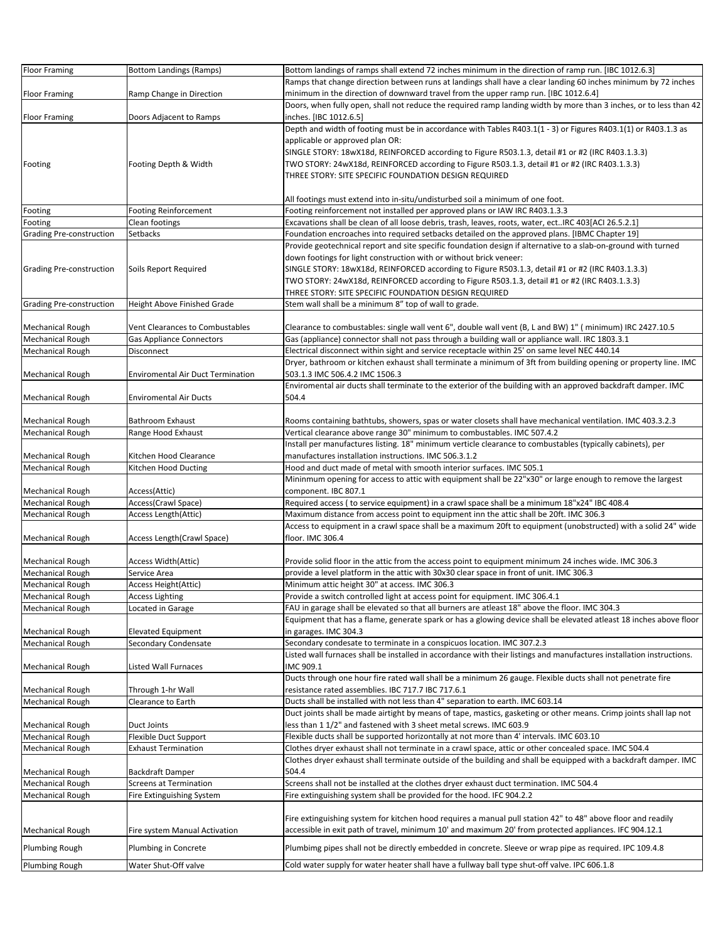| <b>Floor Framing</b>     | <b>Bottom Landings (Ramps)</b>           | Bottom landings of ramps shall extend 72 inches minimum in the direction of ramp run. [IBC 1012.6.3]                  |
|--------------------------|------------------------------------------|-----------------------------------------------------------------------------------------------------------------------|
|                          |                                          | Ramps that change direction between runs at landings shall have a clear landing 60 inches minimum by 72 inches        |
| <b>Floor Framing</b>     | Ramp Change in Direction                 | minimum in the direction of downward travel from the upper ramp run. [IBC 1012.6.4]                                   |
|                          |                                          | Doors, when fully open, shall not reduce the required ramp landing width by more than 3 inches, or to less than 42    |
| <b>Floor Framing</b>     | Doors Adjacent to Ramps                  | inches. [IBC 1012.6.5]                                                                                                |
|                          |                                          | Depth and width of footing must be in accordance with Tables R403.1(1 - 3) or Figures R403.1(1) or R403.1.3 as        |
|                          |                                          | applicable or approved plan OR:                                                                                       |
|                          |                                          | SINGLE STORY: 18wX18d, REINFORCED according to Figure R503.1.3, detail #1 or #2 (IRC R403.1.3.3)                      |
| Footing                  | Footing Depth & Width                    | TWO STORY: 24wX18d, REINFORCED according to Figure R503.1.3, detail #1 or #2 (IRC R403.1.3.3)                         |
|                          |                                          | THREE STORY: SITE SPECIFIC FOUNDATION DESIGN REQUIRED                                                                 |
|                          |                                          |                                                                                                                       |
|                          |                                          | All footings must extend into in-situ/undisturbed soil a minimum of one foot.                                         |
| Footing                  | <b>Footing Reinforcement</b>             | Footing reinforcement not installed per approved plans or IAW IRC R403.1.3.3                                          |
| Footing                  | Clean footings                           | Excavations shall be clean of all loose debris, trash, leaves, roots, water, ectIRC 403[ACI 26.5.2.1]                 |
| Grading Pre-construction | Setbacks                                 | Foundation encroaches into required setbacks detailed on the approved plans. [IBMC Chapter 19]                        |
|                          |                                          | Provide geotechnical report and site specific foundation design if alternative to a slab-on-ground with turned        |
|                          |                                          | down footings for light construction with or without brick veneer:                                                    |
| Grading Pre-construction | Soils Report Required                    | SINGLE STORY: 18wX18d, REINFORCED according to Figure R503.1.3, detail #1 or #2 (IRC R403.1.3.3)                      |
|                          |                                          | TWO STORY: 24wX18d, REINFORCED according to Figure R503.1.3, detail #1 or #2 (IRC R403.1.3.3)                         |
|                          |                                          | THREE STORY: SITE SPECIFIC FOUNDATION DESIGN REQUIRED                                                                 |
| Grading Pre-construction | <b>Height Above Finished Grade</b>       | Stem wall shall be a minimum 8" top of wall to grade.                                                                 |
|                          |                                          |                                                                                                                       |
| <b>Mechanical Rough</b>  | <b>Vent Clearances to Combustables</b>   | Clearance to combustables: single wall vent 6", double wall vent (B, L and BW) 1" (minimum) IRC 2427.10.5             |
| <b>Mechanical Rough</b>  | <b>Gas Appliance Connectors</b>          | Gas (appliance) connector shall not pass through a building wall or appliance wall. IRC 1803.3.1                      |
| <b>Mechanical Rough</b>  | Disconnect                               | Electrical disconnect within sight and service receptacle within 25' on same level NEC 440.14                         |
|                          |                                          | Dryer, bathroom or kitchen exhaust shall terminate a minimum of 3ft from building opening or property line. IMC       |
| <b>Mechanical Rough</b>  | <b>Enviromental Air Duct Termination</b> | 503.1.3 IMC 506.4.2 IMC 1506.3                                                                                        |
|                          |                                          | Enviromental air ducts shall terminate to the exterior of the building with an approved backdraft damper. IMC         |
| <b>Mechanical Rough</b>  | <b>Enviromental Air Ducts</b>            | 504.4                                                                                                                 |
|                          |                                          |                                                                                                                       |
|                          |                                          |                                                                                                                       |
| Mechanical Rough         | Bathroom Exhaust                         | Rooms containing bathtubs, showers, spas or water closets shall have mechanical ventilation. IMC 403.3.2.3            |
| Mechanical Rough         | Range Hood Exhaust                       | Vertical clearance above range 30" minimum to combustables. IMC 507.4.2                                               |
|                          |                                          | Install per manufactures listing. 18" minimum verticle clearance to combustables (typically cabinets), per            |
| <b>Mechanical Rough</b>  | Kitchen Hood Clearance                   | manufactures installation instructions. IMC 506.3.1.2                                                                 |
| <b>Mechanical Rough</b>  | Kitchen Hood Ducting                     | Hood and duct made of metal with smooth interior surfaces. IMC 505.1                                                  |
|                          |                                          | Mininmum opening for access to attic with equipment shall be 22"x30" or large enough to remove the largest            |
| <b>Mechanical Rough</b>  | Access(Attic)                            | component. IBC 807.1                                                                                                  |
| <b>Mechanical Rough</b>  | Access(Crawl Space)                      | Required access (to service equipment) in a crawl space shall be a minimum 18"x24" IBC 408.4                          |
| Mechanical Rough         | Access Length(Attic)                     | Maximum distance from access point to equipment inn the attic shall be 20ft. IMC 306.3                                |
|                          |                                          | Access to equipment in a crawl space shall be a maximum 20ft to equipment (unobstructed) with a solid 24" wide        |
| <b>Mechanical Rough</b>  | <b>Access Length (Crawl Space)</b>       | floor. IMC 306.4                                                                                                      |
|                          |                                          |                                                                                                                       |
| <b>Mechanical Rough</b>  | Access Width(Attic)                      | Provide solid floor in the attic from the access point to equipment minimum 24 inches wide. IMC 306.3                 |
| <b>Mechanical Rough</b>  | Service Area                             | provide a level platform in the attic with 30x30 clear space in front of unit. IMC 306.3                              |
| <b>Mechanical Rough</b>  | Access Height(Attic)                     | Minimum attic height 30" at access. IMC 306.3                                                                         |
| <b>Mechanical Rough</b>  | <b>Access Lighting</b>                   | Provide a switch controlled light at access point for equipment. IMC 306.4.1                                          |
| <b>Mechanical Rough</b>  | Located in Garage                        | FAU in garage shall be elevated so that all burners are atleast 18" above the floor. IMC 304.3                        |
|                          |                                          | Equipment that has a flame, generate spark or has a glowing device shall be elevated atleast 18 inches above floor    |
| Mechanical Rough         | <b>Elevated Equipment</b>                | in garages. IMC 304.3                                                                                                 |
| <b>Mechanical Rough</b>  | Secondary Condensate                     | Secondary condesate to terminate in a conspicuos location. IMC 307.2.3                                                |
|                          |                                          | Listed wall furnaces shall be installed in accordance with their listings and manufactures installation instructions. |
| <b>Mechanical Rough</b>  | <b>Listed Wall Furnaces</b>              | IMC 909.1                                                                                                             |
|                          |                                          | Ducts through one hour fire rated wall shall be a minimum 26 gauge. Flexible ducts shall not penetrate fire           |
| <b>Mechanical Rough</b>  | Through 1-hr Wall                        | resistance rated assemblies. IBC 717.7 IBC 717.6.1                                                                    |
| <b>Mechanical Rough</b>  | Clearance to Earth                       | Ducts shall be installed with not less than 4" separation to earth. IMC 603.14                                        |
|                          |                                          | Duct joints shall be made airtight by means of tape, mastics, gasketing or other means. Crimp joints shall lap not    |
| <b>Mechanical Rough</b>  | Duct Joints                              | less than 1 1/2" and fastened with 3 sheet metal screws. IMC 603.9                                                    |
| <b>Mechanical Rough</b>  | Flexible Duct Support                    | Flexible ducts shall be supported horizontally at not more than 4' intervals. IMC 603.10                              |
| <b>Mechanical Rough</b>  | <b>Exhaust Termination</b>               | Clothes dryer exhaust shall not terminate in a crawl space, attic or other concealed space. IMC 504.4                 |
|                          |                                          | Clothes dryer exhaust shall terminate outside of the building and shall be equipped with a backdraft damper. IMC      |
| Mechanical Rough         | Backdraft Damper                         | 504.4                                                                                                                 |
| Mechanical Rough         | Screens at Termination                   | Screens shall not be installed at the clothes dryer exhaust duct termination. IMC 504.4                               |
| <b>Mechanical Rough</b>  | Fire Extinguishing System                | Fire extinguishing system shall be provided for the hood. IFC 904.2.2                                                 |
|                          |                                          |                                                                                                                       |
|                          |                                          | Fire extinguishing system for kitchen hood requires a manual pull station 42" to 48" above floor and readily          |
| <b>Mechanical Rough</b>  | Fire system Manual Activation            | accessible in exit path of travel, minimum 10' and maximum 20' from protected appliances. IFC 904.12.1                |
|                          |                                          |                                                                                                                       |
| Plumbing Rough           | Plumbing in Concrete                     | Plumbimg pipes shall not be directly embedded in concrete. Sleeve or wrap pipe as required. IPC 109.4.8               |
| Plumbing Rough           | Water Shut-Off valve                     | Cold water supply for water heater shall have a fullway ball type shut-off valve. IPC 606.1.8                         |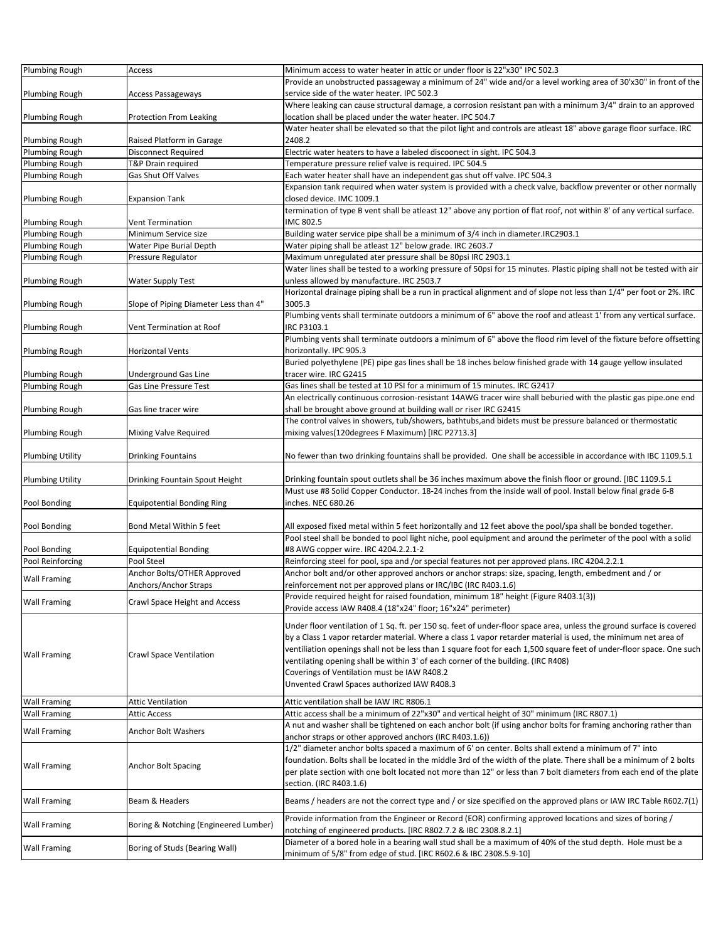| Plumbing Rough          | Access                                | Minimum access to water heater in attic or under floor is 22"x30" IPC 502.3                                                                                                      |
|-------------------------|---------------------------------------|----------------------------------------------------------------------------------------------------------------------------------------------------------------------------------|
|                         |                                       | Provide an unobstructed passageway a minimum of 24" wide and/or a level working area of 30'x30" in front of the                                                                  |
| Plumbing Rough          | Access Passageways                    | service side of the water heater. IPC 502.3                                                                                                                                      |
|                         |                                       | Where leaking can cause structural damage, a corrosion resistant pan with a minimum 3/4" drain to an approved                                                                    |
| <b>Plumbing Rough</b>   | Protection From Leaking               | location shall be placed under the water heater. IPC 504.7                                                                                                                       |
|                         |                                       | Water heater shall be elevated so that the pilot light and controls are atleast 18" above garage floor surface. IRC                                                              |
| Plumbing Rough          | Raised Platform in Garage             | 2408.2                                                                                                                                                                           |
| Plumbing Rough          | <b>Disconnect Required</b>            | Electric water heaters to have a labeled discoonect in sight. IPC 504.3                                                                                                          |
| Plumbing Rough          | T&P Drain required                    | Temperature pressure relief valve is required. IPC 504.5                                                                                                                         |
| Plumbing Rough          | Gas Shut Off Valves                   | Each water heater shall have an independent gas shut off valve. IPC 504.3                                                                                                        |
|                         |                                       | Expansion tank required when water system is provided with a check valve, backflow preventer or other normally                                                                   |
| Plumbing Rough          | <b>Expansion Tank</b>                 | closed device. IMC 1009.1                                                                                                                                                        |
|                         |                                       | termination of type B vent shall be atleast 12" above any portion of flat roof, not within 8' of any vertical surface.                                                           |
| Plumbing Rough          | Vent Termination                      | IMC 802.5                                                                                                                                                                        |
| Plumbing Rough          | Minimum Service size                  | Building water service pipe shall be a minimum of 3/4 inch in diameter.IRC2903.1                                                                                                 |
| Plumbing Rough          | Water Pipe Burial Depth               | Water piping shall be atleast 12" below grade. IRC 2603.7                                                                                                                        |
| Plumbing Rough          | Pressure Regulator                    | Maximum unregulated ater pressure shall be 80psi IRC 2903.1                                                                                                                      |
|                         |                                       | Water lines shall be tested to a working pressure of 50psi for 15 minutes. Plastic piping shall not be tested with air                                                           |
| Plumbing Rough          | Water Supply Test                     | unless allowed by manufacture. IRC 2503.7                                                                                                                                        |
|                         |                                       | Horizontal drainage piping shall be a run in practical alignment and of slope not less than 1/4" per foot or 2%. IRC                                                             |
| <b>Plumbing Rough</b>   | Slope of Piping Diameter Less than 4" | 3005.3                                                                                                                                                                           |
|                         |                                       | Plumbing vents shall terminate outdoors a minimum of 6" above the roof and atleast 1' from any vertical surface.                                                                 |
|                         |                                       | IRC P3103.1                                                                                                                                                                      |
| Plumbing Rough          | Vent Termination at Roof              | Plumbing vents shall terminate outdoors a minimum of 6" above the flood rim level of the fixture before offsetting                                                               |
|                         |                                       |                                                                                                                                                                                  |
| Plumbing Rough          | Horizontal Vents                      | horizontally. IPC 905.3<br>Buried polyethylene (PE) pipe gas lines shall be 18 inches below finished grade with 14 gauge yellow insulated                                        |
|                         |                                       |                                                                                                                                                                                  |
| Plumbing Rough          | <b>Underground Gas Line</b>           | tracer wire. IRC G2415                                                                                                                                                           |
| Plumbing Rough          | Gas Line Pressure Test                | Gas lines shall be tested at 10 PSI for a minimum of 15 minutes. IRC G2417                                                                                                       |
|                         |                                       | An electrically continuous corrosion-resistant 14AWG tracer wire shall beburied with the plastic gas pipe.one end                                                                |
| <b>Plumbing Rough</b>   | Gas line tracer wire                  | shall be brought above ground at building wall or riser IRC G2415                                                                                                                |
|                         |                                       | The control valves in showers, tub/showers, bathtubs, and bidets must be pressure balanced or thermostatic                                                                       |
| <b>Plumbing Rough</b>   | Mixing Valve Required                 | mixing valves(120degrees F Maximum) [IRC P2713.3]                                                                                                                                |
|                         |                                       |                                                                                                                                                                                  |
| <b>Plumbing Utility</b> | <b>Drinking Fountains</b>             | No fewer than two drinking fountains shall be provided. One shall be accessible in accordance with IBC 1109.5.1                                                                  |
|                         |                                       |                                                                                                                                                                                  |
| <b>Plumbing Utility</b> | Drinking Fountain Spout Height        | Drinking fountain spout outlets shall be 36 inches maximum above the finish floor or ground. [IBC 1109.5.1                                                                       |
|                         |                                       | Must use #8 Solid Copper Conductor. 18-24 inches from the inside wall of pool. Install below final grade 6-8                                                                     |
| Pool Bonding            | <b>Equipotential Bonding Ring</b>     | inches. NEC 680.26                                                                                                                                                               |
|                         |                                       |                                                                                                                                                                                  |
| Pool Bonding            | Bond Metal Within 5 feet              | All exposed fixed metal within 5 feet horizontally and 12 feet above the pool/spa shall be bonded together.                                                                      |
|                         |                                       | Pool steel shall be bonded to pool light niche, pool equipment and around the perimeter of the pool with a solid                                                                 |
| Pool Bonding            | <b>Equipotential Bonding</b>          | #8 AWG copper wire. IRC 4204.2.2.1-2                                                                                                                                             |
| Pool Reinforcing        | Pool Steel                            | Reinforcing steel for pool, spa and /or special features not per approved plans. IRC 4204.2.2.1                                                                                  |
|                         | Anchor Bolts/OTHER Approved           | Anchor bolt and/or other approved anchors or anchor straps: size, spacing, length, embedment and / or                                                                            |
| <b>Wall Framing</b>     | Anchors/Anchor Straps                 | reinforcement not per approved plans or IRC/IBC (IRC R403.1.6)                                                                                                                   |
|                         |                                       | Provide required height for raised foundation, minimum 18" height (Figure R403.1(3))                                                                                             |
| <b>Wall Framing</b>     | Crawl Space Height and Access         | Provide access IAW R408.4 (18"x24" floor; 16"x24" perimeter)                                                                                                                     |
|                         |                                       |                                                                                                                                                                                  |
|                         |                                       | Under floor ventilation of 1 Sq. ft. per 150 sq. feet of under-floor space area, unless the ground surface is covered                                                            |
|                         |                                       | by a Class 1 vapor retarder material. Where a class 1 vapor retarder material is used, the minimum net area of                                                                   |
| <b>Wall Framing</b>     | Crawl Space Ventilation               | ventiliation openings shall not be less than 1 square foot for each 1,500 square feet of under-floor space. One such                                                             |
|                         |                                       | ventilating opening shall be within 3' of each corner of the building. (IRC R408)                                                                                                |
|                         |                                       | Coverings of Ventilation must be IAW R408.2                                                                                                                                      |
|                         |                                       | Unvented Crawl Spaces authorized IAW R408.3                                                                                                                                      |
| <b>Wall Framing</b>     | <b>Attic Ventilation</b>              | Attic ventilation shall be IAW IRC R806.1                                                                                                                                        |
| <b>Wall Framing</b>     | <b>Attic Access</b>                   | Attic access shall be a minimum of 22"x30" and vertical height of 30" minimum (IRC R807.1)                                                                                       |
|                         |                                       | A nut and washer shall be tightened on each anchor bolt (if using anchor bolts for framing anchoring rather than                                                                 |
| <b>Wall Framing</b>     | Anchor Bolt Washers                   | anchor straps or other approved anchors (IRC R403.1.6))                                                                                                                          |
|                         |                                       | 1/2" diameter anchor bolts spaced a maximum of 6' on center. Bolts shall extend a minimum of 7" into                                                                             |
|                         |                                       | foundation. Bolts shall be located in the middle 3rd of the width of the plate. There shall be a minimum of 2 bolts                                                              |
| <b>Wall Framing</b>     | <b>Anchor Bolt Spacing</b>            | per plate section with one bolt located not more than 12" or less than 7 bolt diameters from each end of the plate                                                               |
|                         |                                       |                                                                                                                                                                                  |
|                         |                                       | section. (IRC R403.1.6)                                                                                                                                                          |
| <b>Wall Framing</b>     | Beam & Headers                        | Beams / headers are not the correct type and / or size specified on the approved plans or IAW IRC Table R602.7(1)                                                                |
|                         |                                       |                                                                                                                                                                                  |
| <b>Wall Framing</b>     | Boring & Notching (Engineered Lumber) | Provide information from the Engineer or Record (EOR) confirming approved locations and sizes of boring /                                                                        |
|                         |                                       | notching of engineered products. [IRC R802.7.2 & IBC 2308.8.2.1]                                                                                                                 |
| <b>Wall Framing</b>     | Boring of Studs (Bearing Wall)        | Diameter of a bored hole in a bearing wall stud shall be a maximum of 40% of the stud depth. Hole must be a<br>minimum of 5/8" from edge of stud. [IRC R602.6 & IBC 2308.5.9-10] |
|                         |                                       |                                                                                                                                                                                  |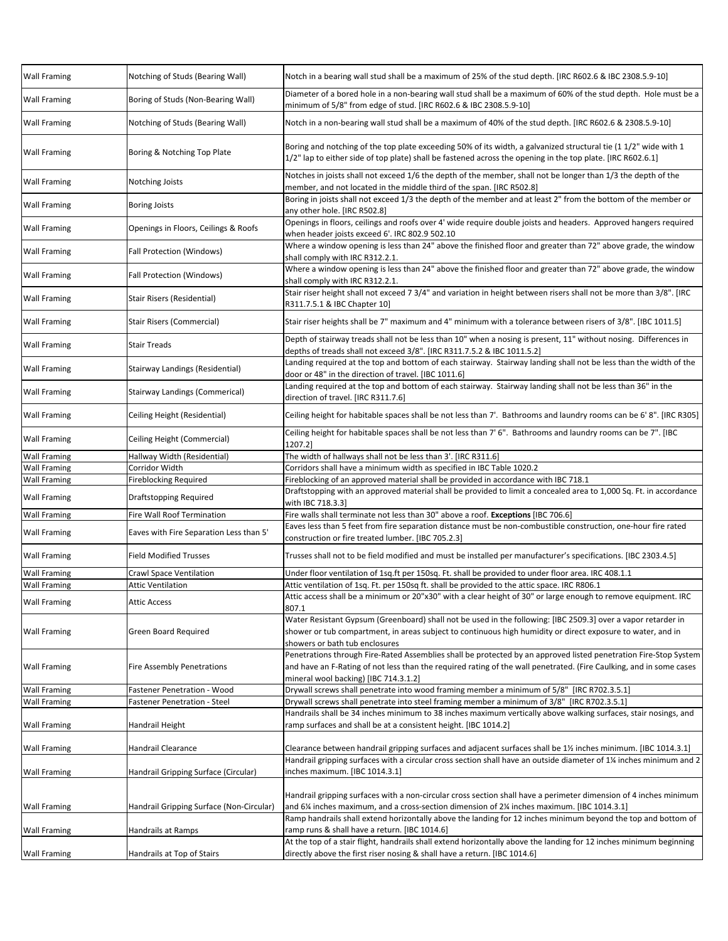| <b>Wall Framing</b><br>Notching of Studs (Bearing Wall)<br>Notch in a bearing wall stud shall be a maximum of 25% of the stud depth. [IRC R602.6 & IBC 2308.5.9-10]<br>Boring of Studs (Non-Bearing Wall)<br><b>Wall Framing</b><br>minimum of 5/8" from edge of stud. [IRC R602.6 & IBC 2308.5.9-10]<br>Notching of Studs (Bearing Wall)<br>Notch in a non-bearing wall stud shall be a maximum of 40% of the stud depth. [IRC R602.6 & 2308.5.9-10]<br>Wall Framing<br>Boring and notching of the top plate exceeding 50% of its width, a galvanized structural tie (11/2" wide with 1<br>Boring & Notching Top Plate<br><b>Wall Framing</b><br>1/2" lap to either side of top plate) shall be fastened across the opening in the top plate. [IRC R602.6.1]<br>Notches in joists shall not exceed 1/6 the depth of the member, shall not be longer than 1/3 the depth of the<br><b>Wall Framing</b><br>Notching Joists<br>member, and not located in the middle third of the span. [IRC R502.8]<br>Boring in joists shall not exceed 1/3 the depth of the member and at least 2" from the bottom of the member or<br>Wall Framing<br><b>Boring Joists</b><br>any other hole. [IRC R502.8]<br>Openings in floors, ceilings and roofs over 4' wide require double joists and headers. Approved hangers required<br>Openings in Floors, Ceilings & Roofs<br>Wall Framing<br>when header joists exceed 6'. IRC 802.9 502.10<br>Where a window opening is less than 24" above the finished floor and greater than 72" above grade, the window<br>Fall Protection (Windows)<br>Wall Framing<br>shall comply with IRC R312.2.1.<br>Where a window opening is less than 24" above the finished floor and greater than 72" above grade, the window<br>Fall Protection (Windows)<br><b>Wall Framing</b><br>shall comply with IRC R312.2.1.<br>Stair riser height shall not exceed 7 3/4" and variation in height between risers shall not be more than 3/8". [IRC<br>Wall Framing<br>Stair Risers (Residential)<br>R311.7.5.1 & IBC Chapter 10]<br><b>Wall Framing</b><br>Stair Risers (Commercial)<br>Stair riser heights shall be 7" maximum and 4" minimum with a tolerance between risers of 3/8". [IBC 1011.5]<br>Depth of stairway treads shall not be less than 10" when a nosing is present, 11" without nosing. Differences in<br><b>Wall Framing</b><br><b>Stair Treads</b><br>depths of treads shall not exceed 3/8". [IRC R311.7.5.2 & IBC 1011.5.2]<br>Landing required at the top and bottom of each stairway. Stairway landing shall not be less than the width of the<br>Stairway Landings (Residential)<br><b>Wall Framing</b><br>door or 48" in the direction of travel. [IBC 1011.6]<br>Landing required at the top and bottom of each stairway. Stairway landing shall not be less than 36" in the<br><b>Stairway Landings (Commerical)</b><br><b>Wall Framing</b><br>direction of travel. [IRC R311.7.6]<br>Ceiling Height (Residential)<br>Wall Framing<br>Ceiling height for habitable spaces shall be not less than 7' 6". Bathrooms and laundry rooms can be 7". [IBC<br><b>Wall Framing</b><br>Ceiling Height (Commercial)<br>1207.2]<br>The width of hallways shall not be less than 3'. [IRC R311.6]<br><b>Wall Framing</b><br>Hallway Width (Residential)<br>Corridor Width<br>Corridors shall have a minimum width as specified in IBC Table 1020.2<br><b>Wall Framing</b><br>Fireblocking of an approved material shall be provided in accordance with IBC 718.1<br>Wall Framing<br>Fireblocking Required<br>Draftstopping with an approved material shall be provided to limit a concealed area to 1,000 Sq. Ft. in accordance<br>Wall Framing<br>Draftstopping Required<br>with IBC 718.3.3]<br>Fire walls shall terminate not less than 30" above a roof. Exceptions [IBC 706.6]<br><b>Wall Framing</b><br>Fire Wall Roof Termination<br>Eaves less than 5 feet from fire separation distance must be non-combustible construction, one-hour fire rated<br><b>Wall Framing</b><br>Eaves with Fire Separation Less than 5'<br>construction or fire treated lumber. [IBC 705.2.3]<br><b>Field Modified Trusses</b><br>Trusses shall not to be field modified and must be installed per manufacturer's specifications. [IBC 2303.4.5]<br><b>Wall Framing</b><br>Wall Framing<br>Crawl Space Ventilation<br>Under floor ventilation of 1sq.ft per 150sq. Ft. shall be provided to under floor area. IRC 408.1.1<br>Wall Framing<br>Attic ventilation of 1sq. Ft. per 150sq ft. shall be provided to the attic space. IRC R806.1<br>Attic Ventilation<br>Attic access shall be a minimum or 20"x30" with a clear height of 30" or large enough to remove equipment. IRC<br><b>Attic Access</b><br>807.1<br>Water Resistant Gypsum (Greenboard) shall not be used in the following: [IBC 2509.3] over a vapor retarder in<br>Green Board Required<br>shower or tub compartment, in areas subject to continuous high humidity or direct exposure to water, and in<br>showers or bath tub enclosures<br>and have an F-Rating of not less than the required rating of the wall penetrated. (Fire Caulking, and in some cases<br><b>Wall Framing</b><br><b>Fire Assembly Penetrations</b><br>mineral wool backing) [IBC 714.3.1.2]<br>Drywall screws shall penetrate into wood framing member a minimum of 5/8" [IRC R702.3.5.1]<br>Wall Framing<br>Fastener Penetration - Wood<br>Drywall screws shall penetrate into steel framing member a minimum of 3/8" [IRC R702.3.5.1]<br><b>Wall Framing</b><br>Fastener Penetration - Steel<br>Handrails shall be 34 inches minimum to 38 inches maximum vertically above walking surfaces, stair nosings, and<br>ramp surfaces and shall be at a consistent height. [IBC 1014.2]<br>Wall Framing<br>Handrail Height<br>Handrail Clearance<br>Clearance between handrail gripping surfaces and adjacent surfaces shall be 1% inches minimum. [IBC 1014.3.1]<br><b>Wall Framing</b><br>Handrail gripping surfaces with a circular cross section shall have an outside diameter of 1% inches minimum and 2<br>inches maximum. [IBC 1014.3.1]<br><b>Wall Framing</b><br>Handrail Gripping Surface (Circular)<br>and 6% inches maximum, and a cross-section dimension of 2% inches maximum. [IBC 1014.3.1]<br>Handrail Gripping Surface (Non-Circular)<br><b>Wall Framing</b><br>Ramp handrails shall extend horizontally above the landing for 12 inches minimum beyond the top and bottom of<br>ramp runs & shall have a return. [IBC 1014.6]<br>Handrails at Ramps<br>At the top of a stair flight, handrails shall extend horizontally above the landing for 12 inches minimum beginning<br>directly above the first riser nosing & shall have a return. [IBC 1014.6]<br>Handrails at Top of Stairs |                     |                                                                                                                    |
|---------------------------------------------------------------------------------------------------------------------------------------------------------------------------------------------------------------------------------------------------------------------------------------------------------------------------------------------------------------------------------------------------------------------------------------------------------------------------------------------------------------------------------------------------------------------------------------------------------------------------------------------------------------------------------------------------------------------------------------------------------------------------------------------------------------------------------------------------------------------------------------------------------------------------------------------------------------------------------------------------------------------------------------------------------------------------------------------------------------------------------------------------------------------------------------------------------------------------------------------------------------------------------------------------------------------------------------------------------------------------------------------------------------------------------------------------------------------------------------------------------------------------------------------------------------------------------------------------------------------------------------------------------------------------------------------------------------------------------------------------------------------------------------------------------------------------------------------------------------------------------------------------------------------------------------------------------------------------------------------------------------------------------------------------------------------------------------------------------------------------------------------------------------------------------------------------------------------------------------------------------------------------------------------------------------------------------------------------------------------------------------------------------------------------------------------------------------------------------------------------------------------------------------------------------------------------------------------------------------------------------------------------------------------------------------------------------------------------------------------------------------------------------------------------------------------------------------------------------------------------------------------------------------------------------------------------------------------------------------------------------------------------------------------------------------------------------------------------------------------------------------------------------------------------------------------------------------------------------------------------------------------------------------------------------------------------------------------------------------------------------------------------------------------------------------------------------------------------------------------------------------------------------------------------------------------------------------------------------------------------------------------------------------------------------------------------------------------------------------------------------------------------------------------------------------------------------------------------------------------------------------------------------------------------------------------------------------------------------------------------------------------------------------------------------------------------------------------------------------------------------------------------------------------------------------------------------------------------------------------------------------------------------------------------------------------------------------------------------------------------------------------------------------------------------------------------------------------------------------------------------------------------------------------------------------------------------------------------------------------------------------------------------------------------------------------------------------------------------------------------------------------------------------------------------------------------------------------------------------------------------------------------------------------------------------------------------------------------------------------------------------------------------------------------------------------------------------------------------------------------------------------------------------------------------------------------------------------------------------------------------------------------------------------------------------------------------------------------------------------------------------------------------------------------------------------------------------------------------------------------------------------------------------------------------------------------------------------------------------------------------------------------------------------------------------------------------------------------------------------------------------------------------------------------------------------------------------------------------------------------------------------------------------------------------------------------------------------------------------------------------------------------------------------------------------------------------------------------------------------------------------------------------------------------------------------------------------------------------------------------------------------------------------------------------------------------------------------------------------------------------------------------------------------------------------------------------------------------------------------------------------------------------------------------------------------------------------------------------------------------------------------------------------------------------------------------------------------------------------------------------------|---------------------|--------------------------------------------------------------------------------------------------------------------|
|                                                                                                                                                                                                                                                                                                                                                                                                                                                                                                                                                                                                                                                                                                                                                                                                                                                                                                                                                                                                                                                                                                                                                                                                                                                                                                                                                                                                                                                                                                                                                                                                                                                                                                                                                                                                                                                                                                                                                                                                                                                                                                                                                                                                                                                                                                                                                                                                                                                                                                                                                                                                                                                                                                                                                                                                                                                                                                                                                                                                                                                                                                                                                                                                                                                                                                                                                                                                                                                                                                                                                                                                                                                                                                                                                                                                                                                                                                                                                                                                                                                                                                                                                                                                                                                                                                                                                                                                                                                                                                                                                                                                                                                                                                                                                                                                                                                                                                                                                                                                                                                                                                                                                                                                                                                                                                                                                                                                                                                                                                                                                                                                                                                                                                                                                                                                                                                                                                                                                                                                                                                                                                                                                                                                                                                                                                                                                                                                                                                                                                                                                                                                                                                                                                                                                               |                     |                                                                                                                    |
|                                                                                                                                                                                                                                                                                                                                                                                                                                                                                                                                                                                                                                                                                                                                                                                                                                                                                                                                                                                                                                                                                                                                                                                                                                                                                                                                                                                                                                                                                                                                                                                                                                                                                                                                                                                                                                                                                                                                                                                                                                                                                                                                                                                                                                                                                                                                                                                                                                                                                                                                                                                                                                                                                                                                                                                                                                                                                                                                                                                                                                                                                                                                                                                                                                                                                                                                                                                                                                                                                                                                                                                                                                                                                                                                                                                                                                                                                                                                                                                                                                                                                                                                                                                                                                                                                                                                                                                                                                                                                                                                                                                                                                                                                                                                                                                                                                                                                                                                                                                                                                                                                                                                                                                                                                                                                                                                                                                                                                                                                                                                                                                                                                                                                                                                                                                                                                                                                                                                                                                                                                                                                                                                                                                                                                                                                                                                                                                                                                                                                                                                                                                                                                                                                                                                                               |                     | Diameter of a bored hole in a non-bearing wall stud shall be a maximum of 60% of the stud depth. Hole must be a    |
|                                                                                                                                                                                                                                                                                                                                                                                                                                                                                                                                                                                                                                                                                                                                                                                                                                                                                                                                                                                                                                                                                                                                                                                                                                                                                                                                                                                                                                                                                                                                                                                                                                                                                                                                                                                                                                                                                                                                                                                                                                                                                                                                                                                                                                                                                                                                                                                                                                                                                                                                                                                                                                                                                                                                                                                                                                                                                                                                                                                                                                                                                                                                                                                                                                                                                                                                                                                                                                                                                                                                                                                                                                                                                                                                                                                                                                                                                                                                                                                                                                                                                                                                                                                                                                                                                                                                                                                                                                                                                                                                                                                                                                                                                                                                                                                                                                                                                                                                                                                                                                                                                                                                                                                                                                                                                                                                                                                                                                                                                                                                                                                                                                                                                                                                                                                                                                                                                                                                                                                                                                                                                                                                                                                                                                                                                                                                                                                                                                                                                                                                                                                                                                                                                                                                                               |                     |                                                                                                                    |
|                                                                                                                                                                                                                                                                                                                                                                                                                                                                                                                                                                                                                                                                                                                                                                                                                                                                                                                                                                                                                                                                                                                                                                                                                                                                                                                                                                                                                                                                                                                                                                                                                                                                                                                                                                                                                                                                                                                                                                                                                                                                                                                                                                                                                                                                                                                                                                                                                                                                                                                                                                                                                                                                                                                                                                                                                                                                                                                                                                                                                                                                                                                                                                                                                                                                                                                                                                                                                                                                                                                                                                                                                                                                                                                                                                                                                                                                                                                                                                                                                                                                                                                                                                                                                                                                                                                                                                                                                                                                                                                                                                                                                                                                                                                                                                                                                                                                                                                                                                                                                                                                                                                                                                                                                                                                                                                                                                                                                                                                                                                                                                                                                                                                                                                                                                                                                                                                                                                                                                                                                                                                                                                                                                                                                                                                                                                                                                                                                                                                                                                                                                                                                                                                                                                                                               |                     |                                                                                                                    |
|                                                                                                                                                                                                                                                                                                                                                                                                                                                                                                                                                                                                                                                                                                                                                                                                                                                                                                                                                                                                                                                                                                                                                                                                                                                                                                                                                                                                                                                                                                                                                                                                                                                                                                                                                                                                                                                                                                                                                                                                                                                                                                                                                                                                                                                                                                                                                                                                                                                                                                                                                                                                                                                                                                                                                                                                                                                                                                                                                                                                                                                                                                                                                                                                                                                                                                                                                                                                                                                                                                                                                                                                                                                                                                                                                                                                                                                                                                                                                                                                                                                                                                                                                                                                                                                                                                                                                                                                                                                                                                                                                                                                                                                                                                                                                                                                                                                                                                                                                                                                                                                                                                                                                                                                                                                                                                                                                                                                                                                                                                                                                                                                                                                                                                                                                                                                                                                                                                                                                                                                                                                                                                                                                                                                                                                                                                                                                                                                                                                                                                                                                                                                                                                                                                                                                               |                     |                                                                                                                    |
|                                                                                                                                                                                                                                                                                                                                                                                                                                                                                                                                                                                                                                                                                                                                                                                                                                                                                                                                                                                                                                                                                                                                                                                                                                                                                                                                                                                                                                                                                                                                                                                                                                                                                                                                                                                                                                                                                                                                                                                                                                                                                                                                                                                                                                                                                                                                                                                                                                                                                                                                                                                                                                                                                                                                                                                                                                                                                                                                                                                                                                                                                                                                                                                                                                                                                                                                                                                                                                                                                                                                                                                                                                                                                                                                                                                                                                                                                                                                                                                                                                                                                                                                                                                                                                                                                                                                                                                                                                                                                                                                                                                                                                                                                                                                                                                                                                                                                                                                                                                                                                                                                                                                                                                                                                                                                                                                                                                                                                                                                                                                                                                                                                                                                                                                                                                                                                                                                                                                                                                                                                                                                                                                                                                                                                                                                                                                                                                                                                                                                                                                                                                                                                                                                                                                                               |                     |                                                                                                                    |
|                                                                                                                                                                                                                                                                                                                                                                                                                                                                                                                                                                                                                                                                                                                                                                                                                                                                                                                                                                                                                                                                                                                                                                                                                                                                                                                                                                                                                                                                                                                                                                                                                                                                                                                                                                                                                                                                                                                                                                                                                                                                                                                                                                                                                                                                                                                                                                                                                                                                                                                                                                                                                                                                                                                                                                                                                                                                                                                                                                                                                                                                                                                                                                                                                                                                                                                                                                                                                                                                                                                                                                                                                                                                                                                                                                                                                                                                                                                                                                                                                                                                                                                                                                                                                                                                                                                                                                                                                                                                                                                                                                                                                                                                                                                                                                                                                                                                                                                                                                                                                                                                                                                                                                                                                                                                                                                                                                                                                                                                                                                                                                                                                                                                                                                                                                                                                                                                                                                                                                                                                                                                                                                                                                                                                                                                                                                                                                                                                                                                                                                                                                                                                                                                                                                                                               |                     |                                                                                                                    |
|                                                                                                                                                                                                                                                                                                                                                                                                                                                                                                                                                                                                                                                                                                                                                                                                                                                                                                                                                                                                                                                                                                                                                                                                                                                                                                                                                                                                                                                                                                                                                                                                                                                                                                                                                                                                                                                                                                                                                                                                                                                                                                                                                                                                                                                                                                                                                                                                                                                                                                                                                                                                                                                                                                                                                                                                                                                                                                                                                                                                                                                                                                                                                                                                                                                                                                                                                                                                                                                                                                                                                                                                                                                                                                                                                                                                                                                                                                                                                                                                                                                                                                                                                                                                                                                                                                                                                                                                                                                                                                                                                                                                                                                                                                                                                                                                                                                                                                                                                                                                                                                                                                                                                                                                                                                                                                                                                                                                                                                                                                                                                                                                                                                                                                                                                                                                                                                                                                                                                                                                                                                                                                                                                                                                                                                                                                                                                                                                                                                                                                                                                                                                                                                                                                                                                               |                     |                                                                                                                    |
|                                                                                                                                                                                                                                                                                                                                                                                                                                                                                                                                                                                                                                                                                                                                                                                                                                                                                                                                                                                                                                                                                                                                                                                                                                                                                                                                                                                                                                                                                                                                                                                                                                                                                                                                                                                                                                                                                                                                                                                                                                                                                                                                                                                                                                                                                                                                                                                                                                                                                                                                                                                                                                                                                                                                                                                                                                                                                                                                                                                                                                                                                                                                                                                                                                                                                                                                                                                                                                                                                                                                                                                                                                                                                                                                                                                                                                                                                                                                                                                                                                                                                                                                                                                                                                                                                                                                                                                                                                                                                                                                                                                                                                                                                                                                                                                                                                                                                                                                                                                                                                                                                                                                                                                                                                                                                                                                                                                                                                                                                                                                                                                                                                                                                                                                                                                                                                                                                                                                                                                                                                                                                                                                                                                                                                                                                                                                                                                                                                                                                                                                                                                                                                                                                                                                                               |                     |                                                                                                                    |
|                                                                                                                                                                                                                                                                                                                                                                                                                                                                                                                                                                                                                                                                                                                                                                                                                                                                                                                                                                                                                                                                                                                                                                                                                                                                                                                                                                                                                                                                                                                                                                                                                                                                                                                                                                                                                                                                                                                                                                                                                                                                                                                                                                                                                                                                                                                                                                                                                                                                                                                                                                                                                                                                                                                                                                                                                                                                                                                                                                                                                                                                                                                                                                                                                                                                                                                                                                                                                                                                                                                                                                                                                                                                                                                                                                                                                                                                                                                                                                                                                                                                                                                                                                                                                                                                                                                                                                                                                                                                                                                                                                                                                                                                                                                                                                                                                                                                                                                                                                                                                                                                                                                                                                                                                                                                                                                                                                                                                                                                                                                                                                                                                                                                                                                                                                                                                                                                                                                                                                                                                                                                                                                                                                                                                                                                                                                                                                                                                                                                                                                                                                                                                                                                                                                                                               |                     |                                                                                                                    |
|                                                                                                                                                                                                                                                                                                                                                                                                                                                                                                                                                                                                                                                                                                                                                                                                                                                                                                                                                                                                                                                                                                                                                                                                                                                                                                                                                                                                                                                                                                                                                                                                                                                                                                                                                                                                                                                                                                                                                                                                                                                                                                                                                                                                                                                                                                                                                                                                                                                                                                                                                                                                                                                                                                                                                                                                                                                                                                                                                                                                                                                                                                                                                                                                                                                                                                                                                                                                                                                                                                                                                                                                                                                                                                                                                                                                                                                                                                                                                                                                                                                                                                                                                                                                                                                                                                                                                                                                                                                                                                                                                                                                                                                                                                                                                                                                                                                                                                                                                                                                                                                                                                                                                                                                                                                                                                                                                                                                                                                                                                                                                                                                                                                                                                                                                                                                                                                                                                                                                                                                                                                                                                                                                                                                                                                                                                                                                                                                                                                                                                                                                                                                                                                                                                                                                               |                     |                                                                                                                    |
|                                                                                                                                                                                                                                                                                                                                                                                                                                                                                                                                                                                                                                                                                                                                                                                                                                                                                                                                                                                                                                                                                                                                                                                                                                                                                                                                                                                                                                                                                                                                                                                                                                                                                                                                                                                                                                                                                                                                                                                                                                                                                                                                                                                                                                                                                                                                                                                                                                                                                                                                                                                                                                                                                                                                                                                                                                                                                                                                                                                                                                                                                                                                                                                                                                                                                                                                                                                                                                                                                                                                                                                                                                                                                                                                                                                                                                                                                                                                                                                                                                                                                                                                                                                                                                                                                                                                                                                                                                                                                                                                                                                                                                                                                                                                                                                                                                                                                                                                                                                                                                                                                                                                                                                                                                                                                                                                                                                                                                                                                                                                                                                                                                                                                                                                                                                                                                                                                                                                                                                                                                                                                                                                                                                                                                                                                                                                                                                                                                                                                                                                                                                                                                                                                                                                                               |                     |                                                                                                                    |
|                                                                                                                                                                                                                                                                                                                                                                                                                                                                                                                                                                                                                                                                                                                                                                                                                                                                                                                                                                                                                                                                                                                                                                                                                                                                                                                                                                                                                                                                                                                                                                                                                                                                                                                                                                                                                                                                                                                                                                                                                                                                                                                                                                                                                                                                                                                                                                                                                                                                                                                                                                                                                                                                                                                                                                                                                                                                                                                                                                                                                                                                                                                                                                                                                                                                                                                                                                                                                                                                                                                                                                                                                                                                                                                                                                                                                                                                                                                                                                                                                                                                                                                                                                                                                                                                                                                                                                                                                                                                                                                                                                                                                                                                                                                                                                                                                                                                                                                                                                                                                                                                                                                                                                                                                                                                                                                                                                                                                                                                                                                                                                                                                                                                                                                                                                                                                                                                                                                                                                                                                                                                                                                                                                                                                                                                                                                                                                                                                                                                                                                                                                                                                                                                                                                                                               |                     |                                                                                                                    |
|                                                                                                                                                                                                                                                                                                                                                                                                                                                                                                                                                                                                                                                                                                                                                                                                                                                                                                                                                                                                                                                                                                                                                                                                                                                                                                                                                                                                                                                                                                                                                                                                                                                                                                                                                                                                                                                                                                                                                                                                                                                                                                                                                                                                                                                                                                                                                                                                                                                                                                                                                                                                                                                                                                                                                                                                                                                                                                                                                                                                                                                                                                                                                                                                                                                                                                                                                                                                                                                                                                                                                                                                                                                                                                                                                                                                                                                                                                                                                                                                                                                                                                                                                                                                                                                                                                                                                                                                                                                                                                                                                                                                                                                                                                                                                                                                                                                                                                                                                                                                                                                                                                                                                                                                                                                                                                                                                                                                                                                                                                                                                                                                                                                                                                                                                                                                                                                                                                                                                                                                                                                                                                                                                                                                                                                                                                                                                                                                                                                                                                                                                                                                                                                                                                                                                               |                     |                                                                                                                    |
|                                                                                                                                                                                                                                                                                                                                                                                                                                                                                                                                                                                                                                                                                                                                                                                                                                                                                                                                                                                                                                                                                                                                                                                                                                                                                                                                                                                                                                                                                                                                                                                                                                                                                                                                                                                                                                                                                                                                                                                                                                                                                                                                                                                                                                                                                                                                                                                                                                                                                                                                                                                                                                                                                                                                                                                                                                                                                                                                                                                                                                                                                                                                                                                                                                                                                                                                                                                                                                                                                                                                                                                                                                                                                                                                                                                                                                                                                                                                                                                                                                                                                                                                                                                                                                                                                                                                                                                                                                                                                                                                                                                                                                                                                                                                                                                                                                                                                                                                                                                                                                                                                                                                                                                                                                                                                                                                                                                                                                                                                                                                                                                                                                                                                                                                                                                                                                                                                                                                                                                                                                                                                                                                                                                                                                                                                                                                                                                                                                                                                                                                                                                                                                                                                                                                                               |                     | Ceiling height for habitable spaces shall be not less than 7'. Bathrooms and laundry rooms can be 6'8". [IRC R305] |
|                                                                                                                                                                                                                                                                                                                                                                                                                                                                                                                                                                                                                                                                                                                                                                                                                                                                                                                                                                                                                                                                                                                                                                                                                                                                                                                                                                                                                                                                                                                                                                                                                                                                                                                                                                                                                                                                                                                                                                                                                                                                                                                                                                                                                                                                                                                                                                                                                                                                                                                                                                                                                                                                                                                                                                                                                                                                                                                                                                                                                                                                                                                                                                                                                                                                                                                                                                                                                                                                                                                                                                                                                                                                                                                                                                                                                                                                                                                                                                                                                                                                                                                                                                                                                                                                                                                                                                                                                                                                                                                                                                                                                                                                                                                                                                                                                                                                                                                                                                                                                                                                                                                                                                                                                                                                                                                                                                                                                                                                                                                                                                                                                                                                                                                                                                                                                                                                                                                                                                                                                                                                                                                                                                                                                                                                                                                                                                                                                                                                                                                                                                                                                                                                                                                                                               |                     |                                                                                                                    |
|                                                                                                                                                                                                                                                                                                                                                                                                                                                                                                                                                                                                                                                                                                                                                                                                                                                                                                                                                                                                                                                                                                                                                                                                                                                                                                                                                                                                                                                                                                                                                                                                                                                                                                                                                                                                                                                                                                                                                                                                                                                                                                                                                                                                                                                                                                                                                                                                                                                                                                                                                                                                                                                                                                                                                                                                                                                                                                                                                                                                                                                                                                                                                                                                                                                                                                                                                                                                                                                                                                                                                                                                                                                                                                                                                                                                                                                                                                                                                                                                                                                                                                                                                                                                                                                                                                                                                                                                                                                                                                                                                                                                                                                                                                                                                                                                                                                                                                                                                                                                                                                                                                                                                                                                                                                                                                                                                                                                                                                                                                                                                                                                                                                                                                                                                                                                                                                                                                                                                                                                                                                                                                                                                                                                                                                                                                                                                                                                                                                                                                                                                                                                                                                                                                                                                               |                     |                                                                                                                    |
|                                                                                                                                                                                                                                                                                                                                                                                                                                                                                                                                                                                                                                                                                                                                                                                                                                                                                                                                                                                                                                                                                                                                                                                                                                                                                                                                                                                                                                                                                                                                                                                                                                                                                                                                                                                                                                                                                                                                                                                                                                                                                                                                                                                                                                                                                                                                                                                                                                                                                                                                                                                                                                                                                                                                                                                                                                                                                                                                                                                                                                                                                                                                                                                                                                                                                                                                                                                                                                                                                                                                                                                                                                                                                                                                                                                                                                                                                                                                                                                                                                                                                                                                                                                                                                                                                                                                                                                                                                                                                                                                                                                                                                                                                                                                                                                                                                                                                                                                                                                                                                                                                                                                                                                                                                                                                                                                                                                                                                                                                                                                                                                                                                                                                                                                                                                                                                                                                                                                                                                                                                                                                                                                                                                                                                                                                                                                                                                                                                                                                                                                                                                                                                                                                                                                                               |                     |                                                                                                                    |
|                                                                                                                                                                                                                                                                                                                                                                                                                                                                                                                                                                                                                                                                                                                                                                                                                                                                                                                                                                                                                                                                                                                                                                                                                                                                                                                                                                                                                                                                                                                                                                                                                                                                                                                                                                                                                                                                                                                                                                                                                                                                                                                                                                                                                                                                                                                                                                                                                                                                                                                                                                                                                                                                                                                                                                                                                                                                                                                                                                                                                                                                                                                                                                                                                                                                                                                                                                                                                                                                                                                                                                                                                                                                                                                                                                                                                                                                                                                                                                                                                                                                                                                                                                                                                                                                                                                                                                                                                                                                                                                                                                                                                                                                                                                                                                                                                                                                                                                                                                                                                                                                                                                                                                                                                                                                                                                                                                                                                                                                                                                                                                                                                                                                                                                                                                                                                                                                                                                                                                                                                                                                                                                                                                                                                                                                                                                                                                                                                                                                                                                                                                                                                                                                                                                                                               |                     |                                                                                                                    |
|                                                                                                                                                                                                                                                                                                                                                                                                                                                                                                                                                                                                                                                                                                                                                                                                                                                                                                                                                                                                                                                                                                                                                                                                                                                                                                                                                                                                                                                                                                                                                                                                                                                                                                                                                                                                                                                                                                                                                                                                                                                                                                                                                                                                                                                                                                                                                                                                                                                                                                                                                                                                                                                                                                                                                                                                                                                                                                                                                                                                                                                                                                                                                                                                                                                                                                                                                                                                                                                                                                                                                                                                                                                                                                                                                                                                                                                                                                                                                                                                                                                                                                                                                                                                                                                                                                                                                                                                                                                                                                                                                                                                                                                                                                                                                                                                                                                                                                                                                                                                                                                                                                                                                                                                                                                                                                                                                                                                                                                                                                                                                                                                                                                                                                                                                                                                                                                                                                                                                                                                                                                                                                                                                                                                                                                                                                                                                                                                                                                                                                                                                                                                                                                                                                                                                               |                     |                                                                                                                    |
|                                                                                                                                                                                                                                                                                                                                                                                                                                                                                                                                                                                                                                                                                                                                                                                                                                                                                                                                                                                                                                                                                                                                                                                                                                                                                                                                                                                                                                                                                                                                                                                                                                                                                                                                                                                                                                                                                                                                                                                                                                                                                                                                                                                                                                                                                                                                                                                                                                                                                                                                                                                                                                                                                                                                                                                                                                                                                                                                                                                                                                                                                                                                                                                                                                                                                                                                                                                                                                                                                                                                                                                                                                                                                                                                                                                                                                                                                                                                                                                                                                                                                                                                                                                                                                                                                                                                                                                                                                                                                                                                                                                                                                                                                                                                                                                                                                                                                                                                                                                                                                                                                                                                                                                                                                                                                                                                                                                                                                                                                                                                                                                                                                                                                                                                                                                                                                                                                                                                                                                                                                                                                                                                                                                                                                                                                                                                                                                                                                                                                                                                                                                                                                                                                                                                                               |                     |                                                                                                                    |
|                                                                                                                                                                                                                                                                                                                                                                                                                                                                                                                                                                                                                                                                                                                                                                                                                                                                                                                                                                                                                                                                                                                                                                                                                                                                                                                                                                                                                                                                                                                                                                                                                                                                                                                                                                                                                                                                                                                                                                                                                                                                                                                                                                                                                                                                                                                                                                                                                                                                                                                                                                                                                                                                                                                                                                                                                                                                                                                                                                                                                                                                                                                                                                                                                                                                                                                                                                                                                                                                                                                                                                                                                                                                                                                                                                                                                                                                                                                                                                                                                                                                                                                                                                                                                                                                                                                                                                                                                                                                                                                                                                                                                                                                                                                                                                                                                                                                                                                                                                                                                                                                                                                                                                                                                                                                                                                                                                                                                                                                                                                                                                                                                                                                                                                                                                                                                                                                                                                                                                                                                                                                                                                                                                                                                                                                                                                                                                                                                                                                                                                                                                                                                                                                                                                                                               |                     |                                                                                                                    |
|                                                                                                                                                                                                                                                                                                                                                                                                                                                                                                                                                                                                                                                                                                                                                                                                                                                                                                                                                                                                                                                                                                                                                                                                                                                                                                                                                                                                                                                                                                                                                                                                                                                                                                                                                                                                                                                                                                                                                                                                                                                                                                                                                                                                                                                                                                                                                                                                                                                                                                                                                                                                                                                                                                                                                                                                                                                                                                                                                                                                                                                                                                                                                                                                                                                                                                                                                                                                                                                                                                                                                                                                                                                                                                                                                                                                                                                                                                                                                                                                                                                                                                                                                                                                                                                                                                                                                                                                                                                                                                                                                                                                                                                                                                                                                                                                                                                                                                                                                                                                                                                                                                                                                                                                                                                                                                                                                                                                                                                                                                                                                                                                                                                                                                                                                                                                                                                                                                                                                                                                                                                                                                                                                                                                                                                                                                                                                                                                                                                                                                                                                                                                                                                                                                                                                               |                     |                                                                                                                    |
|                                                                                                                                                                                                                                                                                                                                                                                                                                                                                                                                                                                                                                                                                                                                                                                                                                                                                                                                                                                                                                                                                                                                                                                                                                                                                                                                                                                                                                                                                                                                                                                                                                                                                                                                                                                                                                                                                                                                                                                                                                                                                                                                                                                                                                                                                                                                                                                                                                                                                                                                                                                                                                                                                                                                                                                                                                                                                                                                                                                                                                                                                                                                                                                                                                                                                                                                                                                                                                                                                                                                                                                                                                                                                                                                                                                                                                                                                                                                                                                                                                                                                                                                                                                                                                                                                                                                                                                                                                                                                                                                                                                                                                                                                                                                                                                                                                                                                                                                                                                                                                                                                                                                                                                                                                                                                                                                                                                                                                                                                                                                                                                                                                                                                                                                                                                                                                                                                                                                                                                                                                                                                                                                                                                                                                                                                                                                                                                                                                                                                                                                                                                                                                                                                                                                                               |                     |                                                                                                                    |
|                                                                                                                                                                                                                                                                                                                                                                                                                                                                                                                                                                                                                                                                                                                                                                                                                                                                                                                                                                                                                                                                                                                                                                                                                                                                                                                                                                                                                                                                                                                                                                                                                                                                                                                                                                                                                                                                                                                                                                                                                                                                                                                                                                                                                                                                                                                                                                                                                                                                                                                                                                                                                                                                                                                                                                                                                                                                                                                                                                                                                                                                                                                                                                                                                                                                                                                                                                                                                                                                                                                                                                                                                                                                                                                                                                                                                                                                                                                                                                                                                                                                                                                                                                                                                                                                                                                                                                                                                                                                                                                                                                                                                                                                                                                                                                                                                                                                                                                                                                                                                                                                                                                                                                                                                                                                                                                                                                                                                                                                                                                                                                                                                                                                                                                                                                                                                                                                                                                                                                                                                                                                                                                                                                                                                                                                                                                                                                                                                                                                                                                                                                                                                                                                                                                                                               |                     |                                                                                                                    |
|                                                                                                                                                                                                                                                                                                                                                                                                                                                                                                                                                                                                                                                                                                                                                                                                                                                                                                                                                                                                                                                                                                                                                                                                                                                                                                                                                                                                                                                                                                                                                                                                                                                                                                                                                                                                                                                                                                                                                                                                                                                                                                                                                                                                                                                                                                                                                                                                                                                                                                                                                                                                                                                                                                                                                                                                                                                                                                                                                                                                                                                                                                                                                                                                                                                                                                                                                                                                                                                                                                                                                                                                                                                                                                                                                                                                                                                                                                                                                                                                                                                                                                                                                                                                                                                                                                                                                                                                                                                                                                                                                                                                                                                                                                                                                                                                                                                                                                                                                                                                                                                                                                                                                                                                                                                                                                                                                                                                                                                                                                                                                                                                                                                                                                                                                                                                                                                                                                                                                                                                                                                                                                                                                                                                                                                                                                                                                                                                                                                                                                                                                                                                                                                                                                                                                               |                     |                                                                                                                    |
|                                                                                                                                                                                                                                                                                                                                                                                                                                                                                                                                                                                                                                                                                                                                                                                                                                                                                                                                                                                                                                                                                                                                                                                                                                                                                                                                                                                                                                                                                                                                                                                                                                                                                                                                                                                                                                                                                                                                                                                                                                                                                                                                                                                                                                                                                                                                                                                                                                                                                                                                                                                                                                                                                                                                                                                                                                                                                                                                                                                                                                                                                                                                                                                                                                                                                                                                                                                                                                                                                                                                                                                                                                                                                                                                                                                                                                                                                                                                                                                                                                                                                                                                                                                                                                                                                                                                                                                                                                                                                                                                                                                                                                                                                                                                                                                                                                                                                                                                                                                                                                                                                                                                                                                                                                                                                                                                                                                                                                                                                                                                                                                                                                                                                                                                                                                                                                                                                                                                                                                                                                                                                                                                                                                                                                                                                                                                                                                                                                                                                                                                                                                                                                                                                                                                                               | <b>Wall Framing</b> |                                                                                                                    |
|                                                                                                                                                                                                                                                                                                                                                                                                                                                                                                                                                                                                                                                                                                                                                                                                                                                                                                                                                                                                                                                                                                                                                                                                                                                                                                                                                                                                                                                                                                                                                                                                                                                                                                                                                                                                                                                                                                                                                                                                                                                                                                                                                                                                                                                                                                                                                                                                                                                                                                                                                                                                                                                                                                                                                                                                                                                                                                                                                                                                                                                                                                                                                                                                                                                                                                                                                                                                                                                                                                                                                                                                                                                                                                                                                                                                                                                                                                                                                                                                                                                                                                                                                                                                                                                                                                                                                                                                                                                                                                                                                                                                                                                                                                                                                                                                                                                                                                                                                                                                                                                                                                                                                                                                                                                                                                                                                                                                                                                                                                                                                                                                                                                                                                                                                                                                                                                                                                                                                                                                                                                                                                                                                                                                                                                                                                                                                                                                                                                                                                                                                                                                                                                                                                                                                               | <b>Wall Framing</b> |                                                                                                                    |
|                                                                                                                                                                                                                                                                                                                                                                                                                                                                                                                                                                                                                                                                                                                                                                                                                                                                                                                                                                                                                                                                                                                                                                                                                                                                                                                                                                                                                                                                                                                                                                                                                                                                                                                                                                                                                                                                                                                                                                                                                                                                                                                                                                                                                                                                                                                                                                                                                                                                                                                                                                                                                                                                                                                                                                                                                                                                                                                                                                                                                                                                                                                                                                                                                                                                                                                                                                                                                                                                                                                                                                                                                                                                                                                                                                                                                                                                                                                                                                                                                                                                                                                                                                                                                                                                                                                                                                                                                                                                                                                                                                                                                                                                                                                                                                                                                                                                                                                                                                                                                                                                                                                                                                                                                                                                                                                                                                                                                                                                                                                                                                                                                                                                                                                                                                                                                                                                                                                                                                                                                                                                                                                                                                                                                                                                                                                                                                                                                                                                                                                                                                                                                                                                                                                                                               |                     | Penetrations through Fire-Rated Assemblies shall be protected by an approved listed penetration Fire-Stop System   |
|                                                                                                                                                                                                                                                                                                                                                                                                                                                                                                                                                                                                                                                                                                                                                                                                                                                                                                                                                                                                                                                                                                                                                                                                                                                                                                                                                                                                                                                                                                                                                                                                                                                                                                                                                                                                                                                                                                                                                                                                                                                                                                                                                                                                                                                                                                                                                                                                                                                                                                                                                                                                                                                                                                                                                                                                                                                                                                                                                                                                                                                                                                                                                                                                                                                                                                                                                                                                                                                                                                                                                                                                                                                                                                                                                                                                                                                                                                                                                                                                                                                                                                                                                                                                                                                                                                                                                                                                                                                                                                                                                                                                                                                                                                                                                                                                                                                                                                                                                                                                                                                                                                                                                                                                                                                                                                                                                                                                                                                                                                                                                                                                                                                                                                                                                                                                                                                                                                                                                                                                                                                                                                                                                                                                                                                                                                                                                                                                                                                                                                                                                                                                                                                                                                                                                               |                     |                                                                                                                    |
|                                                                                                                                                                                                                                                                                                                                                                                                                                                                                                                                                                                                                                                                                                                                                                                                                                                                                                                                                                                                                                                                                                                                                                                                                                                                                                                                                                                                                                                                                                                                                                                                                                                                                                                                                                                                                                                                                                                                                                                                                                                                                                                                                                                                                                                                                                                                                                                                                                                                                                                                                                                                                                                                                                                                                                                                                                                                                                                                                                                                                                                                                                                                                                                                                                                                                                                                                                                                                                                                                                                                                                                                                                                                                                                                                                                                                                                                                                                                                                                                                                                                                                                                                                                                                                                                                                                                                                                                                                                                                                                                                                                                                                                                                                                                                                                                                                                                                                                                                                                                                                                                                                                                                                                                                                                                                                                                                                                                                                                                                                                                                                                                                                                                                                                                                                                                                                                                                                                                                                                                                                                                                                                                                                                                                                                                                                                                                                                                                                                                                                                                                                                                                                                                                                                                                               |                     |                                                                                                                    |
|                                                                                                                                                                                                                                                                                                                                                                                                                                                                                                                                                                                                                                                                                                                                                                                                                                                                                                                                                                                                                                                                                                                                                                                                                                                                                                                                                                                                                                                                                                                                                                                                                                                                                                                                                                                                                                                                                                                                                                                                                                                                                                                                                                                                                                                                                                                                                                                                                                                                                                                                                                                                                                                                                                                                                                                                                                                                                                                                                                                                                                                                                                                                                                                                                                                                                                                                                                                                                                                                                                                                                                                                                                                                                                                                                                                                                                                                                                                                                                                                                                                                                                                                                                                                                                                                                                                                                                                                                                                                                                                                                                                                                                                                                                                                                                                                                                                                                                                                                                                                                                                                                                                                                                                                                                                                                                                                                                                                                                                                                                                                                                                                                                                                                                                                                                                                                                                                                                                                                                                                                                                                                                                                                                                                                                                                                                                                                                                                                                                                                                                                                                                                                                                                                                                                                               |                     |                                                                                                                    |
|                                                                                                                                                                                                                                                                                                                                                                                                                                                                                                                                                                                                                                                                                                                                                                                                                                                                                                                                                                                                                                                                                                                                                                                                                                                                                                                                                                                                                                                                                                                                                                                                                                                                                                                                                                                                                                                                                                                                                                                                                                                                                                                                                                                                                                                                                                                                                                                                                                                                                                                                                                                                                                                                                                                                                                                                                                                                                                                                                                                                                                                                                                                                                                                                                                                                                                                                                                                                                                                                                                                                                                                                                                                                                                                                                                                                                                                                                                                                                                                                                                                                                                                                                                                                                                                                                                                                                                                                                                                                                                                                                                                                                                                                                                                                                                                                                                                                                                                                                                                                                                                                                                                                                                                                                                                                                                                                                                                                                                                                                                                                                                                                                                                                                                                                                                                                                                                                                                                                                                                                                                                                                                                                                                                                                                                                                                                                                                                                                                                                                                                                                                                                                                                                                                                                                               |                     |                                                                                                                    |
|                                                                                                                                                                                                                                                                                                                                                                                                                                                                                                                                                                                                                                                                                                                                                                                                                                                                                                                                                                                                                                                                                                                                                                                                                                                                                                                                                                                                                                                                                                                                                                                                                                                                                                                                                                                                                                                                                                                                                                                                                                                                                                                                                                                                                                                                                                                                                                                                                                                                                                                                                                                                                                                                                                                                                                                                                                                                                                                                                                                                                                                                                                                                                                                                                                                                                                                                                                                                                                                                                                                                                                                                                                                                                                                                                                                                                                                                                                                                                                                                                                                                                                                                                                                                                                                                                                                                                                                                                                                                                                                                                                                                                                                                                                                                                                                                                                                                                                                                                                                                                                                                                                                                                                                                                                                                                                                                                                                                                                                                                                                                                                                                                                                                                                                                                                                                                                                                                                                                                                                                                                                                                                                                                                                                                                                                                                                                                                                                                                                                                                                                                                                                                                                                                                                                                               |                     |                                                                                                                    |
|                                                                                                                                                                                                                                                                                                                                                                                                                                                                                                                                                                                                                                                                                                                                                                                                                                                                                                                                                                                                                                                                                                                                                                                                                                                                                                                                                                                                                                                                                                                                                                                                                                                                                                                                                                                                                                                                                                                                                                                                                                                                                                                                                                                                                                                                                                                                                                                                                                                                                                                                                                                                                                                                                                                                                                                                                                                                                                                                                                                                                                                                                                                                                                                                                                                                                                                                                                                                                                                                                                                                                                                                                                                                                                                                                                                                                                                                                                                                                                                                                                                                                                                                                                                                                                                                                                                                                                                                                                                                                                                                                                                                                                                                                                                                                                                                                                                                                                                                                                                                                                                                                                                                                                                                                                                                                                                                                                                                                                                                                                                                                                                                                                                                                                                                                                                                                                                                                                                                                                                                                                                                                                                                                                                                                                                                                                                                                                                                                                                                                                                                                                                                                                                                                                                                                               |                     | Handrail gripping surfaces with a non-circular cross section shall have a perimeter dimension of 4 inches minimum  |
|                                                                                                                                                                                                                                                                                                                                                                                                                                                                                                                                                                                                                                                                                                                                                                                                                                                                                                                                                                                                                                                                                                                                                                                                                                                                                                                                                                                                                                                                                                                                                                                                                                                                                                                                                                                                                                                                                                                                                                                                                                                                                                                                                                                                                                                                                                                                                                                                                                                                                                                                                                                                                                                                                                                                                                                                                                                                                                                                                                                                                                                                                                                                                                                                                                                                                                                                                                                                                                                                                                                                                                                                                                                                                                                                                                                                                                                                                                                                                                                                                                                                                                                                                                                                                                                                                                                                                                                                                                                                                                                                                                                                                                                                                                                                                                                                                                                                                                                                                                                                                                                                                                                                                                                                                                                                                                                                                                                                                                                                                                                                                                                                                                                                                                                                                                                                                                                                                                                                                                                                                                                                                                                                                                                                                                                                                                                                                                                                                                                                                                                                                                                                                                                                                                                                                               | <b>Wall Framing</b> |                                                                                                                    |
|                                                                                                                                                                                                                                                                                                                                                                                                                                                                                                                                                                                                                                                                                                                                                                                                                                                                                                                                                                                                                                                                                                                                                                                                                                                                                                                                                                                                                                                                                                                                                                                                                                                                                                                                                                                                                                                                                                                                                                                                                                                                                                                                                                                                                                                                                                                                                                                                                                                                                                                                                                                                                                                                                                                                                                                                                                                                                                                                                                                                                                                                                                                                                                                                                                                                                                                                                                                                                                                                                                                                                                                                                                                                                                                                                                                                                                                                                                                                                                                                                                                                                                                                                                                                                                                                                                                                                                                                                                                                                                                                                                                                                                                                                                                                                                                                                                                                                                                                                                                                                                                                                                                                                                                                                                                                                                                                                                                                                                                                                                                                                                                                                                                                                                                                                                                                                                                                                                                                                                                                                                                                                                                                                                                                                                                                                                                                                                                                                                                                                                                                                                                                                                                                                                                                                               | <b>Wall Framing</b> |                                                                                                                    |